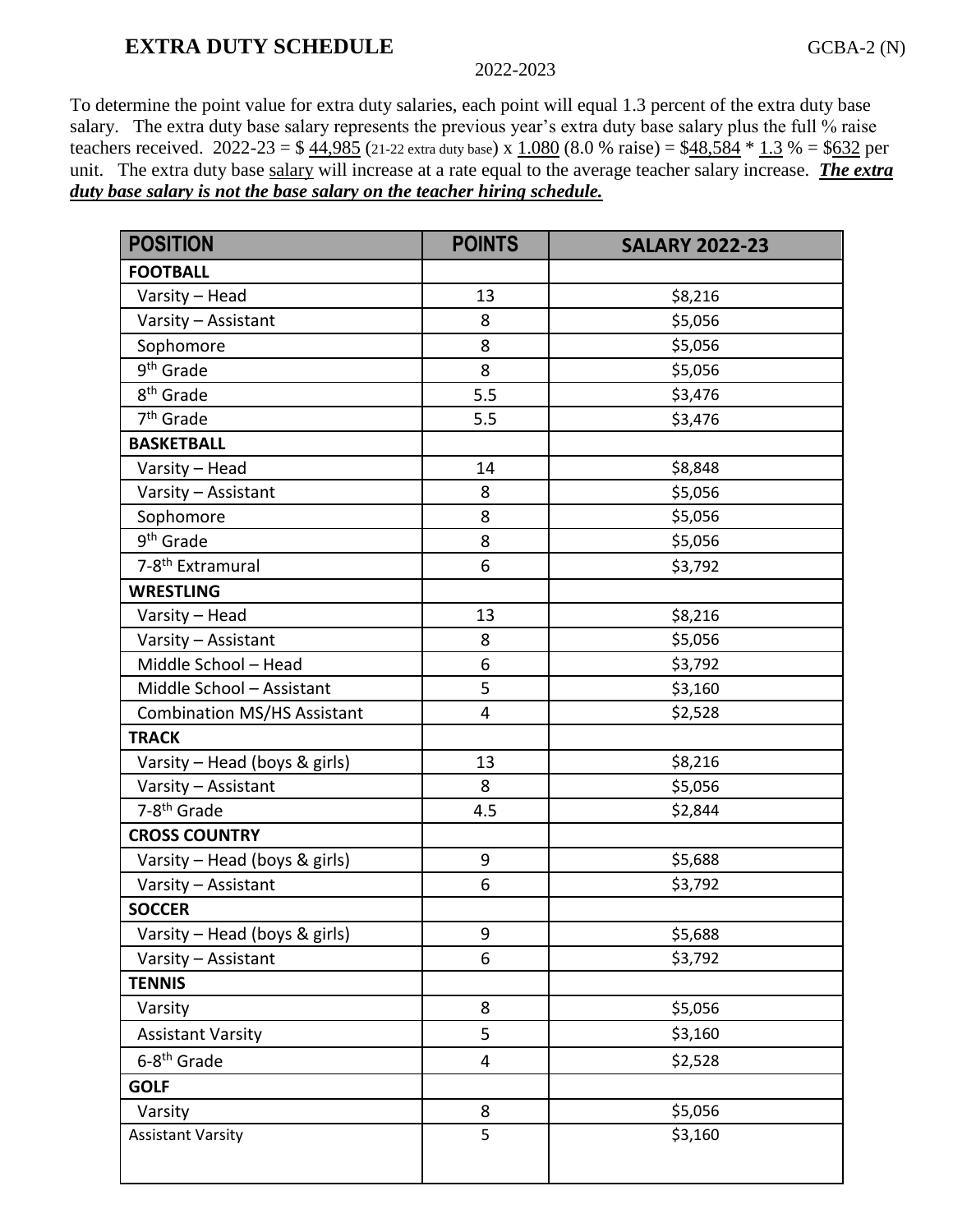# **EXTRA DUTY SCHEDULE** GCBA-2 (N)

#### 2022-2023

To determine the point value for extra duty salaries, each point will equal 1.3 percent of the extra duty base salary. The extra duty base salary represents the previous year's extra duty base salary plus the full % raise teachers received. 2022-23 =  $$44,985$  (21-22 extra duty base) x 1.080 (8.0 % raise) =  $$48,584 * 1.3$  % = \$632 per unit. The extra duty base salary will increase at a rate equal to the average teacher salary increase. *The extra duty base salary is not the base salary on the teacher hiring schedule.*

| <b>POSITION</b>                    | <b>POINTS</b> | <b>SALARY 2022-23</b> |
|------------------------------------|---------------|-----------------------|
| <b>FOOTBALL</b>                    |               |                       |
| Varsity - Head                     | 13            | \$8,216               |
| Varsity - Assistant                | 8             | \$5,056               |
| Sophomore                          | 8             | \$5,056               |
| 9 <sup>th</sup> Grade              | 8             | \$5,056               |
| 8 <sup>th</sup> Grade              | 5.5           | \$3,476               |
| 7 <sup>th</sup> Grade              | 5.5           | \$3,476               |
| <b>BASKETBALL</b>                  |               |                       |
| Varsity - Head                     | 14            | \$8,848               |
| Varsity - Assistant                | 8             | \$5,056               |
| Sophomore                          | 8             | \$5,056               |
| 9 <sup>th</sup> Grade              | 8             | \$5,056               |
| 7-8 <sup>th</sup> Extramural       | 6             | \$3,792               |
| <b>WRESTLING</b>                   |               |                       |
| Varsity - Head                     | 13            | \$8,216               |
| Varsity - Assistant                | 8             | \$5,056               |
| Middle School - Head               | 6             | \$3,792               |
| Middle School - Assistant          | 5             | \$3,160               |
| <b>Combination MS/HS Assistant</b> | 4             | \$2,528               |
| <b>TRACK</b>                       |               |                       |
| Varsity - Head (boys & girls)      | 13            | \$8,216               |
| Varsity - Assistant                | 8             | \$5,056               |
| 7-8 <sup>th</sup> Grade            | 4.5           | \$2,844               |
| <b>CROSS COUNTRY</b>               |               |                       |
| Varsity - Head (boys & girls)      | 9             | \$5,688               |
| Varsity - Assistant                | 6             | \$3,792               |
| <b>SOCCER</b>                      |               |                       |
| Varsity - Head (boys & girls)      | 9             | \$5,688               |
| Varsity - Assistant                | 6             | \$3,792               |
| <b>TENNIS</b>                      |               |                       |
| Varsity                            | 8             | \$5,056               |
| <b>Assistant Varsity</b>           | 5             | \$3,160               |
| 6-8 <sup>th</sup> Grade            | 4             | \$2,528               |
| <b>GOLF</b>                        |               |                       |
| Varsity                            | 8             | \$5,056               |
| <b>Assistant Varsity</b>           | 5             | \$3,160               |
|                                    |               |                       |
|                                    |               |                       |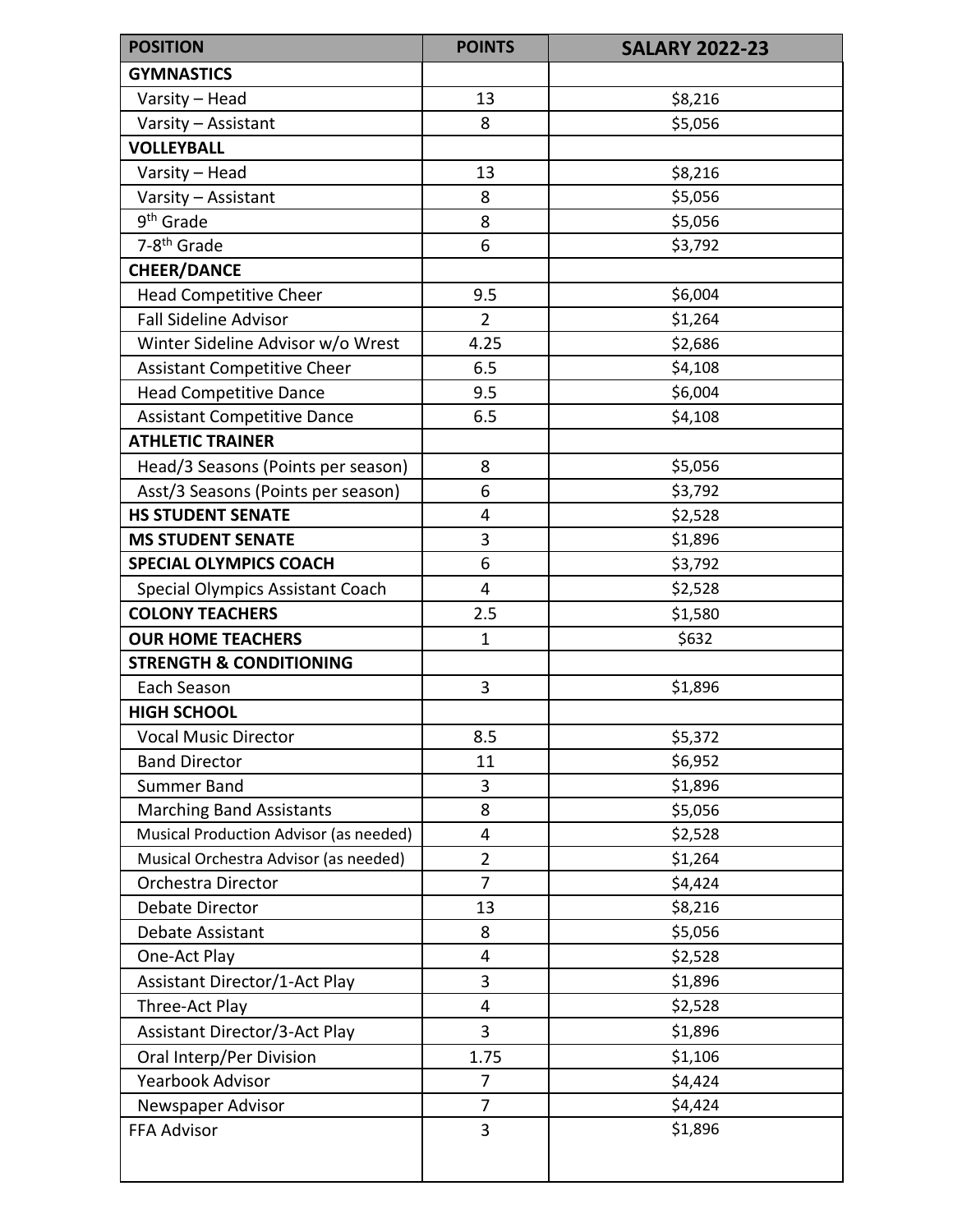| <b>POSITION</b>                        | <b>POINTS</b>  | <b>SALARY 2022-23</b> |
|----------------------------------------|----------------|-----------------------|
| <b>GYMNASTICS</b>                      |                |                       |
| Varsity - Head                         | 13             | \$8,216               |
| Varsity - Assistant                    | 8              | \$5,056               |
| <b>VOLLEYBALL</b>                      |                |                       |
| Varsity - Head                         | 13             | \$8,216               |
| Varsity - Assistant                    | 8              | \$5,056               |
| 9 <sup>th</sup> Grade                  | 8              | \$5,056               |
| 7-8 <sup>th</sup> Grade                | 6              | \$3,792               |
| <b>CHEER/DANCE</b>                     |                |                       |
| <b>Head Competitive Cheer</b>          | 9.5            | \$6,004               |
| <b>Fall Sideline Advisor</b>           | $\overline{2}$ | \$1,264               |
| Winter Sideline Advisor w/o Wrest      | 4.25           | \$2,686               |
| <b>Assistant Competitive Cheer</b>     | 6.5            | \$4,108               |
| <b>Head Competitive Dance</b>          | 9.5            | \$6,004               |
| <b>Assistant Competitive Dance</b>     | 6.5            | \$4,108               |
| <b>ATHLETIC TRAINER</b>                |                |                       |
| Head/3 Seasons (Points per season)     | 8              | \$5,056               |
| Asst/3 Seasons (Points per season)     | 6              | \$3,792               |
| <b>HS STUDENT SENATE</b>               | 4              | \$2,528               |
| <b>MS STUDENT SENATE</b>               | 3              | \$1,896               |
| <b>SPECIAL OLYMPICS COACH</b>          | 6              | \$3,792               |
| Special Olympics Assistant Coach       | 4              | \$2,528               |
| <b>COLONY TEACHERS</b>                 | 2.5            | \$1,580               |
| <b>OUR HOME TEACHERS</b>               | $\mathbf 1$    | \$632                 |
| <b>STRENGTH &amp; CONDITIONING</b>     |                |                       |
| Each Season                            | 3              | \$1,896               |
| <b>HIGH SCHOOL</b>                     |                |                       |
| <b>Vocal Music Director</b>            | 8.5            | \$5,372               |
| <b>Band Director</b>                   | 11             | \$6,952               |
| <b>Summer Band</b>                     | 3              | \$1,896               |
| <b>Marching Band Assistants</b>        | 8              | \$5,056               |
| Musical Production Advisor (as needed) | 4              | \$2,528               |
| Musical Orchestra Advisor (as needed)  | $\overline{2}$ | \$1,264               |
| Orchestra Director                     | 7              | \$4,424               |
| <b>Debate Director</b>                 | 13             | \$8,216               |
| Debate Assistant                       | 8              | \$5,056               |
| One-Act Play                           | 4              | \$2,528               |
| <b>Assistant Director/1-Act Play</b>   | 3              | \$1,896               |
| Three-Act Play                         | 4              | \$2,528               |
| Assistant Director/3-Act Play          | 3              | \$1,896               |
| Oral Interp/Per Division               | 1.75           | \$1,106               |
| Yearbook Advisor                       | 7              | \$4,424               |
| Newspaper Advisor                      | 7              | \$4,424               |
| FFA Advisor                            | 3              | \$1,896               |
|                                        |                |                       |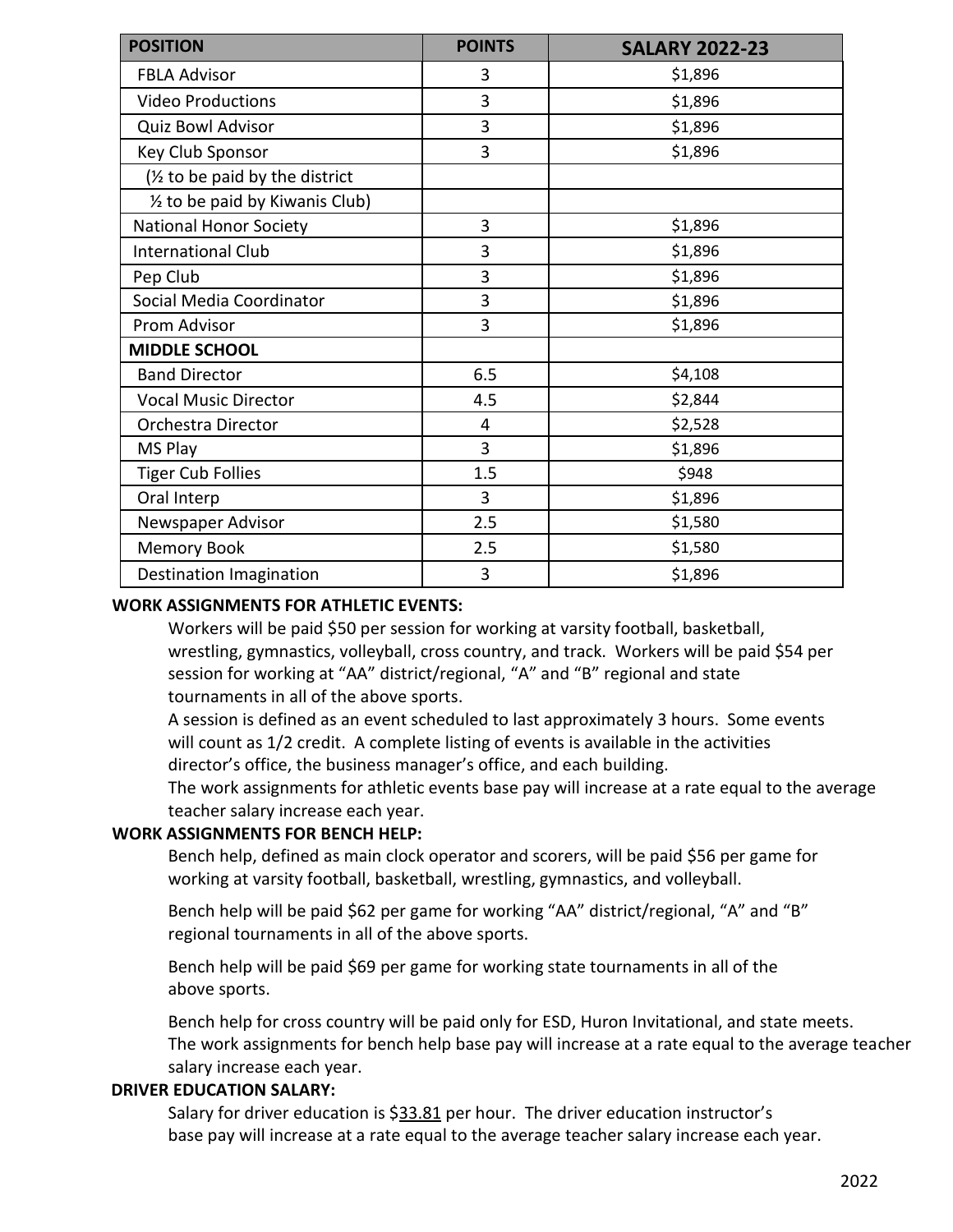| <b>POSITION</b>                 | <b>POINTS</b> | <b>SALARY 2022-23</b> |
|---------------------------------|---------------|-----------------------|
| <b>FBLA Advisor</b>             | 3             | \$1,896               |
| <b>Video Productions</b>        | 3             | \$1,896               |
| Quiz Bowl Advisor               | 3             | \$1,896               |
| Key Club Sponsor                | 3             | \$1,896               |
| (1/2 to be paid by the district |               |                       |
| 1/2 to be paid by Kiwanis Club) |               |                       |
| <b>National Honor Society</b>   | 3             | \$1,896               |
| <b>International Club</b>       | 3             | \$1,896               |
| Pep Club                        | 3             | \$1,896               |
| Social Media Coordinator        | 3             | \$1,896               |
| Prom Advisor                    | 3             | \$1,896               |
| <b>MIDDLE SCHOOL</b>            |               |                       |
| <b>Band Director</b>            | 6.5           | \$4,108               |
| <b>Vocal Music Director</b>     | 4.5           | \$2,844               |
| Orchestra Director              | 4             | \$2,528               |
| MS Play                         | 3             | \$1,896               |
| <b>Tiger Cub Follies</b>        | 1.5           | \$948                 |
| Oral Interp                     | 3             | \$1,896               |
| Newspaper Advisor               | 2.5           | \$1,580               |
| <b>Memory Book</b>              | 2.5           | \$1,580               |
| Destination Imagination         | 3             | \$1,896               |

#### **WORK ASSIGNMENTS FOR ATHLETIC EVENTS:**

Workers will be paid \$50 per session for working at varsity football, basketball, wrestling, gymnastics, volleyball, cross country, and track. Workers will be paid \$54 per session for working at "AA" district/regional, "A" and "B" regional and state tournaments in all of the above sports.

A session is defined as an event scheduled to last approximately 3 hours. Some events will count as 1/2 credit. A complete listing of events is available in the activities director's office, the business manager's office, and each building.

The work assignments for athletic events base pay will increase at a rate equal to the average teacher salary increase each year.

### **WORK ASSIGNMENTS FOR BENCH HELP:**

Bench help, defined as main clock operator and scorers, will be paid \$56 per game for working at varsity football, basketball, wrestling, gymnastics, and volleyball.

Bench help will be paid \$62 per game for working "AA" district/regional, "A" and "B" regional tournaments in all of the above sports.

Bench help will be paid \$69 per game for working state tournaments in all of the above sports.

Bench help for cross country will be paid only for ESD, Huron Invitational, and state meets. The work assignments for bench help base pay will increase at a rate equal to the average teacher salary increase each year.

### **DRIVER EDUCATION SALARY:**

Salary for driver education is \$33.81 per hour. The driver education instructor's base pay will increase at a rate equal to the average teacher salary increase each year.